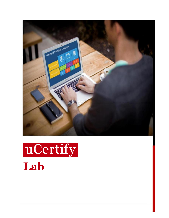

# uCertify **Lab**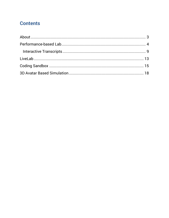## **Contents**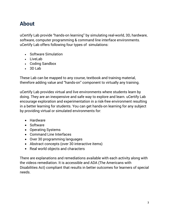# <span id="page-2-0"></span>**About**

uCertify Lab provide "hands-on learning" by simulating real-world, 3D, hardware, software, computer programming & command line interface environments. uCertify Lab offers following four types of simulations:

- Software Simulation
- LiveLab
- Coding Sandbox
- $-3D$  Lab

These Lab can be mapped to any course, textbook and training material, therefore adding value and "hands-on" component to virtually any training.

uCertify Lab provides virtual and live environments where students learn by doing. They are an inexpensive and safe way to explore and learn. uCertify Lab encourage exploration and experimentation in a risk-free environment resulting in a better learning for students. You can get hands-on learning for any subject by providing virtual or simulated environments for:

- Hardware
- Software
- Operating Systems
- Command Line Interfaces
- Over 30 programming languages
- Abstract concepts (over 30 interactive items)
- Real world objects and characters

There are explanations and remediations available with each activity along with the videos remediation. It is accessible and ADA (The Americans with Disabilities Act) compliant that results in better outcomes for learners of special needs.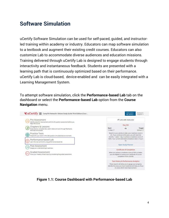# <span id="page-3-0"></span>**Software Simulation**

uCertify Software Simulation can be used for self-paced, guided, and instructorled training within academy or industry. Educators can map software simulation to a textbook and augment their existing credit courses. Educators can also customize Lab to accommodate diverse audiences and education missions. Training delivered through uCertify Lab is designed to engage students through interactivity and instantaneous feedback. Students are presented with a learning path that is continuously optimized based on their performance. uCertify Lab is cloud-based, device-enabled and can be easily integrated with a Learning Management System.

To attempt software simulation, click the **Performance-based Lab** tab on the dashboard or select the **Performance-based Lab** option from the **Course Navigation** menu.

| UCertify :: CompTIA Network+ Deluxe Study Guide Third Edition (Cour                                                                          |                                                                                                                                             | <b>Hello Student</b><br>My Library -                                                                                                                                                                                                 | Feedback &<br>Support - |
|----------------------------------------------------------------------------------------------------------------------------------------------|---------------------------------------------------------------------------------------------------------------------------------------------|--------------------------------------------------------------------------------------------------------------------------------------------------------------------------------------------------------------------------------------|-------------------------|
| Pre-Assessment<br>identify areas for improvement with this 95 question assessment before you.                                                |                                                                                                                                             | d <sup>0</sup> Link with Instructor                                                                                                                                                                                                  |                         |
| begin the course.<br>Chapters & Lessons<br>Study lessons, complete labs, watch videos and work through flashcards.<br>exercises and quizzes. | Start<br>12-May-17                                                                                                                          | Day 332<br>2%                                                                                                                                                                                                                        | Target<br>08-Nov-17     |
| <b>Practice Tests</b><br>Prepare for your exam in this 360 question simulated test environment.                                              |                                                                                                                                             | Based on your activity to date, your readiness score is<br>2%. If you continue at this pace, you will need 542.<br>months, 1 week, 1 day, to achieve a readiness score of<br>100%. Your current estimated completion date is 16-Jun- |                         |
| Performance-based Lab<br>aam the real world skills using performance-based lab.                                                              |                                                                                                                                             | 63.<br>Open Study Planner                                                                                                                                                                                                            |                         |
| Post Assessment<br>Gauge your understanding & readiness.                                                                                     |                                                                                                                                             | Certificate of Completion                                                                                                                                                                                                            |                         |
| Graded Assessment<br>Prove your mastery of each topic by completing the graded assessment.                                                   | When you achieve a readiness score of 90% or better.<br>you are eligible to receive your certificate of course<br>completion from uCertify. |                                                                                                                                                                                                                                      |                         |
|                                                                                                                                              |                                                                                                                                             | <b>Test History &amp; Performance Analytics</b>                                                                                                                                                                                      |                         |
|                                                                                                                                              |                                                                                                                                             | These reports will allow you to gauge your progress.<br>identify the areas you have mastered and help you focus<br>on areas which need improvement.                                                                                  |                         |

**Figure 1.1: Course Dashboard with Performance-based Lab**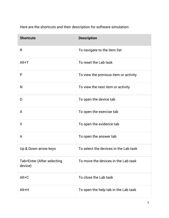| Here are the shortcuts and their description for software simulation: |  |
|-----------------------------------------------------------------------|--|
|                                                                       |  |

| <b>Shortcuts</b>                      | <b>Description</b>                    |
|---------------------------------------|---------------------------------------|
| R                                     | To navigate to the item list          |
| $Alt+T$                               | To reset the Lab task                 |
| P                                     | To view the previous item or activity |
| N                                     | To view the next item or activity     |
| D                                     | To open the device tab                |
| X                                     | To open the exercise tab              |
| V                                     | To open the evidence tab              |
| A                                     | To open the answer tab                |
| Up & Down arrow keys                  | To select the devices in the Lab task |
| Tab+Enter (After selecting<br>device) | To move the devices in the Lab task   |
| Alt+C                                 | To close the Lab task                 |
| Alt+H                                 | To open the help tab in the Lab task  |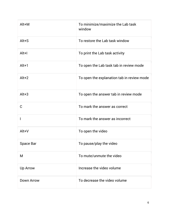| Alt+M             | To minimize/maximize the Lab task<br>window |
|-------------------|---------------------------------------------|
| $Alt + S$         | To restore the Lab task window              |
| $Alt+I$           | To print the Lab task activity              |
| $Alt+1$           | To open the Lab task tab in review mode     |
| $Alt+2$           | To open the explanation tab in review mode  |
| $Alt+3$           | To open the answer tab in review mode       |
| C                 | To mark the answer as correct               |
| ı                 | To mark the answer as incorrect             |
| Alt+V             | To open the video                           |
| <b>Space Bar</b>  | To pause/play the video                     |
| M                 | To mute/unmute the video                    |
| Up Arrow          | Increase the video volume                   |
| <b>Down Arrow</b> | To decrease the video volume                |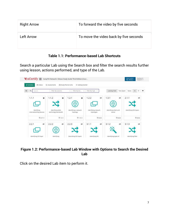| <b>Right Arrow</b> | To forward the video by five seconds   |
|--------------------|----------------------------------------|
| Left Arrow         | To move the video back by five seconds |

## **Table 1.1: Performance-based Lab Shortcuts**

Search a particular Lab using the Search box and filter the search results further using lesson, actions performed, and type of the Lab.



#### **Figure 1.2: Performance-based Lab Window with Options to Search the Desired Lab**

Click on the desired Lab item to perform it.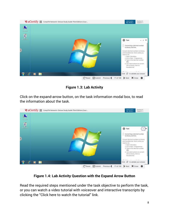

**Figure 1.3: Lab Activity**

Click on the expand-arrow button, on the task information modal box, to read the information about the task.



**Figure 1.4: Lab Activity Question with the Expand Arrow Button**

Read the required steps mentioned under the task objective to perform the task, or you can watch a video tutorial with voiceover and interactive transcripts by clicking the "Click here to watch the tutorial" link.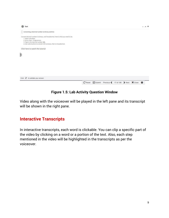

### **Figure 1.5: Lab Activity Question Window**

Video along with the voiceover will be played in the left pane and its transcript will be shown in the right pane.

## <span id="page-8-0"></span>**Interactive Transcripts**

In interactive transcripts, each word is clickable. You can clip a specific part of the video by clicking on a word or a portion of the text. Also, each step mentioned in the video will be highlighted in the transcripts as per the voiceover.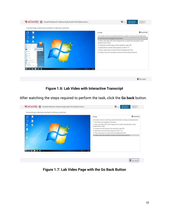

Go back

## **Figure 1.6: Lab Video with Interactive Transcript**

After watching the steps required to perform the task, click the **Go back** button.



**Figure 1.7: Lab Video Page with the Go Back Button**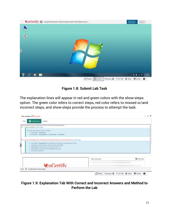

**Figure 1.8: Submit Lab Task**

The explanation lines will appear in red and green colors with the show-steps option. The green color refers to correct steps, red color refers to missed or/and incorrect steps, and show-steps provide the process to attempt the task.

| Your answer is Cincorrect                                                                                                                                                                                                                                                                                                                                           |                    |                                       |
|---------------------------------------------------------------------------------------------------------------------------------------------------------------------------------------------------------------------------------------------------------------------------------------------------------------------------------------------------------------------|--------------------|---------------------------------------|
| <b>D</b> Explanation<br>Answer.<br>Task                                                                                                                                                                                                                                                                                                                             |                    |                                       |
| Here's how to convert a decimal number to binary and hexadecimal:<br>✔ 1. Open Calculator, show steps.                                                                                                                                                                                                                                                              |                    |                                       |
| Here are two ways to open calculator:<br>1. Click Start - Calculator.<br>2. Click Start - All programs - Accessories - Calculator.                                                                                                                                                                                                                                  |                    |                                       |
| X 2. Go to the programmer view and convert 335 to binary, then to hexadecimal, show steps<br>* Click View - Programmer to switch the calculator to programmer's view.<br># Using the numeric keys on the calculator, type 335."<br># Select Bin to convert 335 to binary (101001111).<br>Select Mex to convert 335 to hexadecimal (14F).<br>* Close the Calculator. |                    |                                       |
|                                                                                                                                                                                                                                                                                                                                                                     | Video transcript   | <b>B</b> Download                     |
| $\frac{1}{2}$ uCertify<br>C to attempt this task again.<br>Click                                                                                                                                                                                                                                                                                                    |                    |                                       |
|                                                                                                                                                                                                                                                                                                                                                                     | $\mathbb{C}$ Retry | Previous ◀ 17 of 106 ▶ Next X Close 春 |

### **Figure 1.9: Explanation Tab With Correct and Incorrect Answers and Method to Perform the Lab**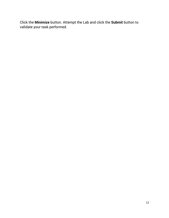Click the **Minimize** button. Attempt the Lab and click the **Submit** button to validate your task performed.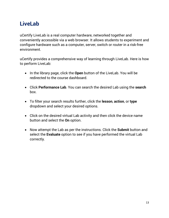# <span id="page-12-0"></span>**LiveLab**

uCertify LiveLab is a real computer hardware, networked together and conveniently accessible via a web browser. It allows students to experiment and configure hardware such as a computer, server, switch or router in a risk-free environment.

uCertify provides a comprehensive way of learning through LiveLab. Here is how to perform LiveLab:

- In the library page, click the **Open** button of the LiveLab. You will be redirected to the course dashboard.
- Click **Performance Lab**. You can search the desired Lab using the **search**  box.
- To filter your search results further, click the **lesson**, **action**, or **type**  dropdown and select your desired options.
- Click on the desired virtual Lab activity and then click the device name button and select the **On** option.
- Now attempt the Lab as per the instructions. Click the **Submit** button and select the **Evaluate** option to see if you have performed the virtual Lab correctly.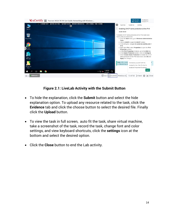

## **Figure 2.1: LiveLab Activity with the Submit Button**

- To hide the explanation, click the **Submit** button and select the hide explanation option. To upload any resource related to the task, click the **Evidence** tab and click the choose button to select the desired file. Finally click the **Upload** button.
- To view the task in full screen, auto fit the task, share virtual machine, take a screenshot of the task, record the task, change font and color settings, and view keyboard shortcuts, click the **settings** icon at the bottom and select the desired option.
- Click the **Close** button to end the Lab activity.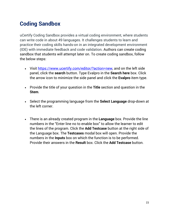# <span id="page-14-0"></span>**Coding Sandbox**

uCertify Coding Sandbox provides a virtual coding environment, where students can write code in about 49 languages. It challenges students to learn and practice their coding skills hands-on in an integrated development environment (IDE) with immediate feedback and code validation. Authors can create coding sandbox that students will attempt later on. To create coding sandbox, follow the below steps:

- Visit [https://www.ucertify.com/editor/?action=new,](https://www.ucertify.com/editor/?action=new) and on the left side panel, click the **search** button. Type Evalpro in the **Search here** box. Click the arrow icon to minimize the side panel and click the **Evalpro** item type.
- Provide the title of your question in the **Title** section and question in the **Stem**.
- Select the programming language from the **Select Language** drop-down at the left corner.
- There is an already created program in the **Language** box. Provide the line numbers in the "Enter line no to enable box" to allow the learner to edit the lines of the program. Click the **Add Testcase** button at the right side of the Language box. The **Testcases** modal box will open. Provide the numbers in the **Inputs** box on which the function is to be performed. Provide their answers in the **Result** box. Click the **Add Testcase** button.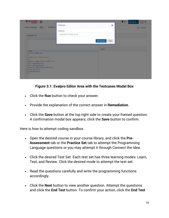|                             | Feestback &<br>Helia Lation<br><b>N</b> Save<br>My Library -<br>Support - |
|-----------------------------|---------------------------------------------------------------------------|
| ×                           | $\square$ imitable                                                        |
|                             |                                                                           |
|                             |                                                                           |
| Close                       |                                                                           |
|                             |                                                                           |
|                             |                                                                           |
|                             |                                                                           |
|                             |                                                                           |
|                             |                                                                           |
|                             |                                                                           |
|                             |                                                                           |
|                             |                                                                           |
| 10.20130:5.451-20:5.-151-10 | Add Testcase<br><b>OUTSIDE</b>                                            |



- Click the **Run** button to check your answer.
- Provide the explanation of the correct answer in **Remediation**.
- Click the **Save** button at the top right side to create your framed question. A confirmation modal box appears; click the **Save** button to confirm.

Here is how to attempt coding sandbox:

- Open the desired course in your course library, and click the **Pre-Assessment** tab or the **Practice Set** tab to attempt the Programming Language questions or you may attempt it through Connect the Idea.
- Click the desired Test Set. Each test set has three learning modes: Learn, Test, and Review. Click the desired mode to attempt the test set.
- Read the questions carefully and write the programming functions accordingly.
- Click the **Next** button to view another question. Attempt the questions and click the **End Test** button. To confirm your action, click the **End Test**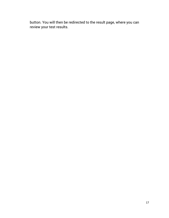button. You will then be redirected to the result page, where you can review your test results.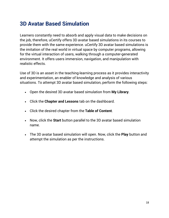# <span id="page-17-0"></span>**3D Avatar Based Simulation**

Learners constantly need to absorb and apply visual data to make decisions on the job, therefore, uCertify offers 3D avatar based simulations in its courses to provide them with the same experience. uCertify 3D avatar based simulations is the imitation of the real world in virtual space by computer programs, allowing for the virtual interaction of users, walking through a computer-generated environment. It offers users immersion, navigation, and manipulation with realistic effects.

Use of 3D is an asset in the teaching-learning process as it provides interactivity and experimentation, an enabler of knowledge and analysis of various situations. To attempt 3D avatar based simulation, perform the following steps:

- Open the desired 3D avatar based simulation from **My Library**.
- Click the **Chapter and Lessons** tab on the dashboard.
- Click the desired chapter from the **Table of Content**.
- Now, click the **Start** button parallel to the 3D avatar based simulation name.
- The 3D avatar based simulation will open. Now, click the **Play** button and attempt the simulation as per the instructions.